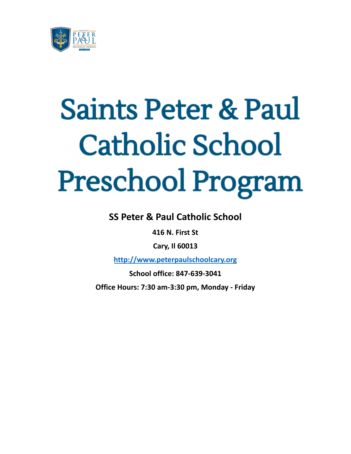

# **Saints Peter & Paul Catholic School Preschool Program**

**SS Peter & Paul Catholic School**

**416 N. First St**

**Cary, Il 60013**

**<http://www.peterpaulschoolcary.org>**

**School office: 847-639-3041**

**Office Hours: 7:30 am-3:30 pm, Monday - Friday**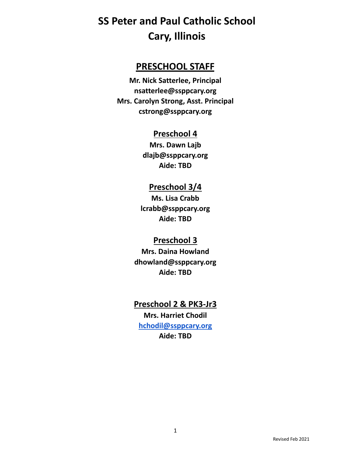### **PRESCHOOL STAFF**

**Mr. Nick Satterlee, Principal nsatterlee@ssppcary.org Mrs. Carolyn Strong, Asst. Principal cstrong@ssppcary.org**

### **Preschool 4**

**Mrs. Dawn Lajb dlajb@ssppcary.org Aide: TBD**

### **Preschool 3/4**

**Ms. Lisa Crabb lcrabb@ssppcary.org Aide: TBD**

### **Preschool 3**

**Mrs. Daina Howland dhowland@ssppcary.org Aide: TBD**

### **Preschool 2 & PK3-Jr3 Mrs. Harriet Chodil [hchodil@ssppcary.org](mailto:hchodil@ssppcary.org) Aide: TBD**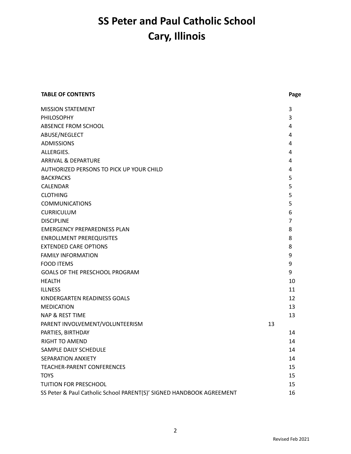| <b>TABLE OF CONTENTS</b>                                             |    | Page           |
|----------------------------------------------------------------------|----|----------------|
| <b>MISSION STATEMENT</b>                                             |    | 3              |
| <b>PHILOSOPHY</b>                                                    |    | 3              |
| ABSENCE FROM SCHOOL                                                  |    | 4              |
| ABUSE/NEGLECT                                                        |    | 4              |
| <b>ADMISSIONS</b>                                                    |    | 4              |
| ALLERGIES.                                                           |    | 4              |
| ARRIVAL & DEPARTURE                                                  |    | 4              |
| <b>AUTHORIZED PERSONS TO PICK UP YOUR CHILD</b>                      |    | 4              |
| <b>BACKPACKS</b>                                                     |    | 5              |
| <b>CALENDAR</b>                                                      |    | 5              |
| <b>CLOTHING</b>                                                      |    | 5              |
| <b>COMMUNICATIONS</b>                                                |    | 5              |
| <b>CURRICULUM</b>                                                    |    | 6              |
| <b>DISCIPLINE</b>                                                    |    | $\overline{7}$ |
| <b>EMERGENCY PREPAREDNESS PLAN</b>                                   |    | 8              |
| <b>ENROLLMENT PREREQUISITES</b>                                      |    | 8              |
| <b>EXTENDED CARE OPTIONS</b>                                         |    | 8              |
| <b>FAMILY INFORMATION</b>                                            |    | 9              |
| <b>FOOD ITEMS</b>                                                    |    | 9              |
| GOALS OF THE PRESCHOOL PROGRAM                                       |    | 9              |
| <b>HEALTH</b>                                                        |    | 10             |
| <b>ILLNESS</b>                                                       |    | 11             |
| KINDERGARTEN READINESS GOALS                                         |    | 12             |
| <b>MEDICATION</b>                                                    |    | 13             |
| <b>NAP &amp; REST TIME</b>                                           |    | 13             |
| PARENT INVOLVEMENT/VOLUNTEERISM                                      | 13 |                |
| PARTIES, BIRTHDAY                                                    |    | 14             |
| <b>RIGHT TO AMEND</b>                                                |    | 14             |
| SAMPLE DAILY SCHEDULE                                                |    | 14             |
| SEPARATION ANXIETY                                                   |    | 14             |
| <b>TEACHER-PARENT CONFERENCES</b>                                    |    | 15             |
| <b>TOYS</b>                                                          |    | 15             |
| TUITION FOR PRESCHOOL                                                |    | 15             |
| SS Peter & Paul Catholic School PARENT(S)' SIGNED HANDBOOK AGREEMENT |    | 16             |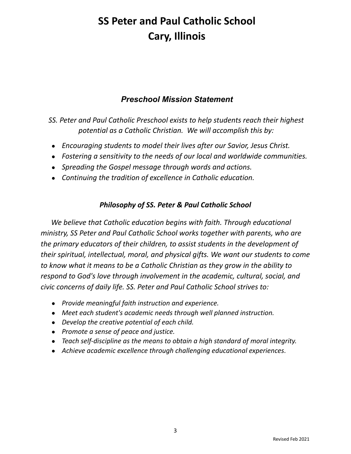### *Preschool Mission Statement*

*SS. Peter and Paul Catholic Preschool exists to help students reach their highest potential as a Catholic Christian. We will accomplish this by:*

- *Encouraging students to model their lives after our Savior, Jesus Christ.*
- *Fostering a sensitivity to the needs of our local and worldwide communities.*
- *Spreading the Gospel message through words and actions.*
- *Continuing the tradition of excellence in Catholic education.*

### *Philosophy of SS. Peter & Paul Catholic School*

*We believe that Catholic education begins with faith. Through educational ministry, SS Peter and Paul Catholic School works together with parents, who are the primary educators of their children, to assist students in the development of their spiritual, intellectual, moral, and physical gifts. We want our students to come to know what it means to be a Catholic Christian as they grow in the ability to respond to God's love through involvement in the academic, cultural, social, and civic concerns of daily life. SS. Peter and Paul Catholic School strives to:*

- *● Provide meaningful faith instruction and experience.*
- *● Meet each student's academic needs through well planned instruction.*
- *● Develop the creative potential of each child.*
- *● Promote a sense of peace and justice.*
- *● Teach self-discipline as the means to obtain a high standard of moral integrity.*
- *● Achieve academic excellence through challenging educational experiences.*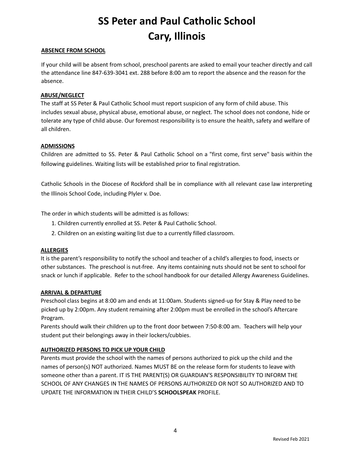#### **ABSENCE FROM SCHOOL**

If your child will be absent from school, preschool parents are asked to email your teacher directly and call the attendance line 847-639-3041 ext. 288 before 8:00 am to report the absence and the reason for the absence.

#### **ABUSE/NEGLECT**

The staff at SS Peter & Paul Catholic School must report suspicion of any form of child abuse. This includes sexual abuse, physical abuse, emotional abuse, or neglect. The school does not condone, hide or tolerate any type of child abuse. Our foremost responsibility is to ensure the health, safety and welfare of all children.

#### **ADMISSIONS**

Children are admitted to SS. Peter & Paul Catholic School on a "first come, first serve" basis within the following guidelines. Waiting lists will be established prior to final registration.

Catholic Schools in the Diocese of Rockford shall be in compliance with all relevant case law interpreting the Illinois School Code, including Plyler v. Doe.

The order in which students will be admitted is as follows:

- 1. Children currently enrolled at SS. Peter & Paul Catholic School.
- 2. Children on an existing waiting list due to a currently filled classroom.

#### **ALLERGIES**

It is the parent's responsibility to notify the school and teacher of a child's allergies to food, insects or other substances. The preschool is nut-free. Any items containing nuts should not be sent to school for snack or lunch if applicable. Refer to the school handbook for our detailed Allergy Awareness Guidelines.

#### **ARRIVAL & DEPARTURE**

Preschool class begins at 8:00 am and ends at 11:00am. Students signed-up for Stay & Play need to be picked up by 2:00pm. Any student remaining after 2:00pm must be enrolled in the school's Aftercare Program.

Parents should walk their children up to the front door between 7:50-8:00 am. Teachers will help your student put their belongings away in their lockers/cubbies.

#### **AUTHORIZED PERSONS TO PICK UP YOUR CHILD**

Parents must provide the school with the names of persons authorized to pick up the child and the names of person(s) NOT authorized. Names MUST BE on the release form for students to leave with someone other than a parent. IT IS THE PARENT(S) OR GUARDIAN'S RESPONSIBILITY TO INFORM THE SCHOOL OF ANY CHANGES IN THE NAMES OF PERSONS AUTHORIZED OR NOT SO AUTHORIZED AND TO UPDATE THE INFORMATION IN THEIR CHILD'S **SCHOOLSPEAK** PROFILE.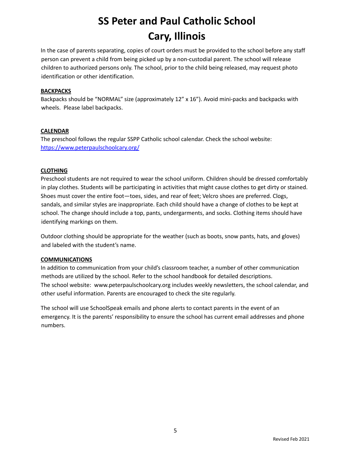In the case of parents separating, copies of court orders must be provided to the school before any staff person can prevent a child from being picked up by a non-custodial parent. The school will release children to authorized persons only. The school, prior to the child being released, may request photo identification or other identification.

#### **BACKPACKS**

Backpacks should be "NORMAL" size (approximately 12" x 16"). Avoid mini-packs and backpacks with wheels. Please label backpacks.

#### **CALENDAR**

The preschool follows the regular SSPP Catholic school calendar. Check the school website: <https://www.peterpaulschoolcary.org/>

#### **CLOTHING**

Preschool students are not required to wear the school uniform. Children should be dressed comfortably in play clothes. Students will be participating in activities that might cause clothes to get dirty or stained. Shoes must cover the entire foot—toes, sides, and rear of feet; Velcro shoes are preferred. Clogs, sandals, and similar styles are inappropriate. Each child should have a change of clothes to be kept at school. The change should include a top, pants, undergarments, and socks. Clothing items should have identifying markings on them.

Outdoor clothing should be appropriate for the weather (such as boots, snow pants, hats, and gloves) and labeled with the student's name.

#### **COMMUNICATIONS**

In addition to communication from your child's classroom teacher, a number of other communication methods are utilized by the school. Refer to the school handbook for detailed descriptions. The school website: www.peterpaulschoolcary.org includes weekly newsletters, the school calendar, and other useful information. Parents are encouraged to check the site regularly.

The school will use SchoolSpeak emails and phone alerts to contact parents in the event of an emergency. It is the parents' responsibility to ensure the school has current email addresses and phone numbers.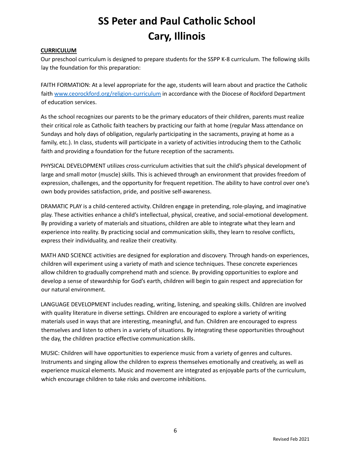#### **CURRICULUM**

Our preschool curriculum is designed to prepare students for the SSPP K-8 curriculum. The following skills lay the foundation for this preparation:

FAITH FORMATION: At a level appropriate for the age, students will learn about and practice the Catholic faith [www.ceorockford.org/religion-curriculum](http://www.ceorockford.org/religion-curriculum) in accordance with the Diocese of Rockford Department of education services.

As the school recognizes our parents to be the primary educators of their children, parents must realize their critical role as Catholic faith teachers by practicing our faith at home (regular Mass attendance on Sundays and holy days of obligation, regularly participating in the sacraments, praying at home as a family, etc.). In class, students will participate in a variety of activities introducing them to the Catholic faith and providing a foundation for the future reception of the sacraments.

PHYSICAL DEVELOPMENT utilizes cross-curriculum activities that suit the child's physical development of large and small motor (muscle) skills. This is achieved through an environment that provides freedom of expression, challenges, and the opportunity for frequent repetition. The ability to have control over one's own body provides satisfaction, pride, and positive self-awareness.

DRAMATIC PLAY is a child-centered activity. Children engage in pretending, role-playing, and imaginative play. These activities enhance a child's intellectual, physical, creative, and social-emotional development. By providing a variety of materials and situations, children are able to integrate what they learn and experience into reality. By practicing social and communication skills, they learn to resolve conflicts, express their individuality, and realize their creativity.

MATH AND SCIENCE activities are designed for exploration and discovery. Through hands-on experiences, children will experiment using a variety of math and science techniques. These concrete experiences allow children to gradually comprehend math and science. By providing opportunities to explore and develop a sense of stewardship for God's earth, children will begin to gain respect and appreciation for our natural environment.

LANGUAGE DEVELOPMENT includes reading, writing, listening, and speaking skills. Children are involved with quality literature in diverse settings. Children are encouraged to explore a variety of writing materials used in ways that are interesting, meaningful, and fun. Children are encouraged to express themselves and listen to others in a variety of situations. By integrating these opportunities throughout the day, the children practice effective communication skills.

MUSIC: Children will have opportunities to experience music from a variety of genres and cultures. Instruments and singing allow the children to express themselves emotionally and creatively, as well as experience musical elements. Music and movement are integrated as enjoyable parts of the curriculum, which encourage children to take risks and overcome inhibitions.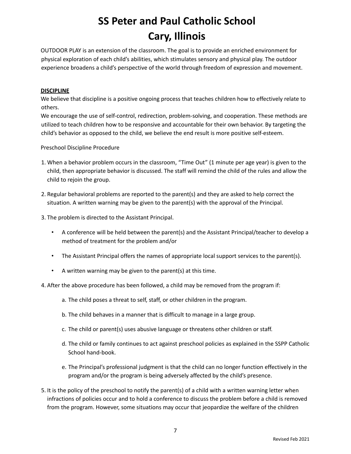OUTDOOR PLAY is an extension of the classroom. The goal is to provide an enriched environment for physical exploration of each child's abilities, which stimulates sensory and physical play. The outdoor experience broadens a child's perspective of the world through freedom of expression and movement.

#### **DISCIPLINE**

We believe that discipline is a positive ongoing process that teaches children how to effectively relate to others.

We encourage the use of self-control, redirection, problem-solving, and cooperation. These methods are utilized to teach children how to be responsive and accountable for their own behavior. By targeting the child's behavior as opposed to the child, we believe the end result is more positive self-esteem.

Preschool Discipline Procedure

- 1. When a behavior problem occurs in the classroom, "Time Out" (1 minute per age year) is given to the child, then appropriate behavior is discussed. The staff will remind the child of the rules and allow the child to rejoin the group.
- 2. Regular behavioral problems are reported to the parent(s) and they are asked to help correct the situation. A written warning may be given to the parent(s) with the approval of the Principal.
- 3. The problem is directed to the Assistant Principal.
	- A conference will be held between the parent(s) and the Assistant Principal/teacher to develop a method of treatment for the problem and/or
	- The Assistant Principal offers the names of appropriate local support services to the parent(s).
	- A written warning may be given to the parent(s) at this time.
- 4. After the above procedure has been followed, a child may be removed from the program if:
	- a. The child poses a threat to self, staff, or other children in the program.
	- b. The child behaves in a manner that is difficult to manage in a large group.
	- c. The child or parent(s) uses abusive language or threatens other children or staff.
	- d. The child or family continues to act against preschool policies as explained in the SSPP Catholic School hand-book.
	- e. The Principal's professional judgment is that the child can no longer function effectively in the program and/or the program is being adversely affected by the child's presence.
- 5. It is the policy of the preschool to notify the parent(s) of a child with a written warning letter when infractions of policies occur and to hold a conference to discuss the problem before a child is removed from the program. However, some situations may occur that jeopardize the welfare of the children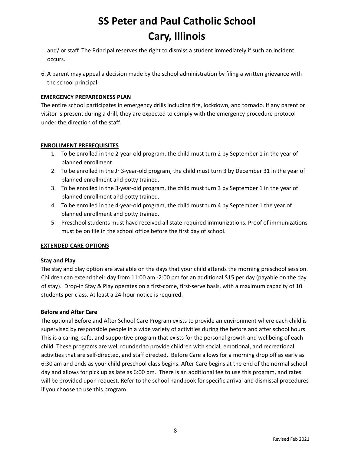and/ or staff. The Principal reserves the right to dismiss a student immediately if such an incident occurs.

6. A parent may appeal a decision made by the school administration by filing a written grievance with the school principal.

#### **EMERGENCY PREPAREDNESS PLAN**

The entire school participates in emergency drills including fire, lockdown, and tornado. If any parent or visitor is present during a drill, they are expected to comply with the emergency procedure protocol under the direction of the staff.

#### **ENROLLMENT PREREQUISITES**

- 1. To be enrolled in the 2-year-old program, the child must turn 2 by September 1 in the year of planned enrollment.
- 2. To be enrolled in the Jr 3-year-old program, the child must turn 3 by December 31 in the year of planned enrollment and potty trained.
- 3. To be enrolled in the 3-year-old program, the child must turn 3 by September 1 in the year of planned enrollment and potty trained.
- 4. To be enrolled in the 4-year-old program, the child must turn 4 by September 1 the year of planned enrollment and potty trained.
- 5. Preschool students must have received all state-required immunizations. Proof of immunizations must be on file in the school office before the first day of school.

#### **EXTENDED CARE OPTIONS**

#### **Stay and Play**

The stay and play option are available on the days that your child attends the morning preschool session. Children can extend their day from 11:00 am -2:00 pm for an additional \$15 per day (payable on the day of stay). Drop-in Stay & Play operates on a first-come, first-serve basis, with a maximum capacity of 10 students per class. At least a 24-hour notice is required.

#### **Before and After Care**

The optional Before and After School Care Program exists to provide an environment where each child is supervised by responsible people in a wide variety of activities during the before and after school hours. This is a caring, safe, and supportive program that exists for the personal growth and wellbeing of each child. These programs are well rounded to provide children with social, emotional, and recreational activities that are self-directed, and staff directed. Before Care allows for a morning drop off as early as 6:30 am and ends as your child preschool class begins. After Care begins at the end of the normal school day and allows for pick up as late as 6:00 pm. There is an additional fee to use this program, and rates will be provided upon request. Refer to the school handbook for specific arrival and dismissal procedures if you choose to use this program.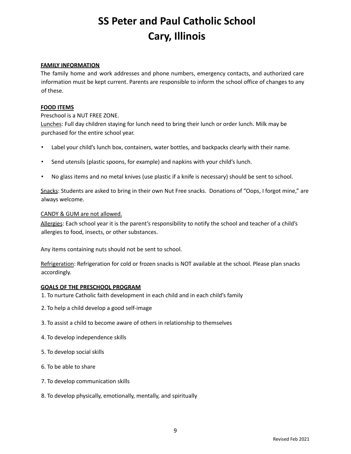#### **FAMILY INFORMATION**

The family home and work addresses and phone numbers, emergency contacts, and authorized care information must be kept current. Parents are responsible to inform the school office of changes to any of these.

#### **FOOD ITEMS**

#### Preschool is a NUT FREE ZONE.

Lunches: Full day children staying for lunch need to bring their lunch or order lunch. Milk may be purchased for the entire school year.

- Label your child's lunch box, containers, water bottles, and backpacks clearly with their name.
- Send utensils (plastic spoons, for example) and napkins with your child's lunch.
- No glass items and no metal knives (use plastic if a knife is necessary) should be sent to school.

Snacks: Students are asked to bring in their own Nut Free snacks. Donations of "Oops, I forgot mine," are always welcome.

#### CANDY & GUM are not allowed.

Allergies: Each school year it is the parent's responsibility to notify the school and teacher of a child's allergies to food, insects, or other substances.

Any items containing nuts should not be sent to school.

Refrigeration: Refrigeration for cold or frozen snacks is NOT available at the school. Please plan snacks accordingly.

#### **GOALS OF THE PRESCHOOL PROGRAM**

- 1. To nurture Catholic faith development in each child and in each child's family
- 2. To help a child develop a good self-image
- 3. To assist a child to become aware of others in relationship to themselves
- 4. To develop independence skills
- 5. To develop social skills
- 6. To be able to share
- 7. To develop communication skills
- 8. To develop physically, emotionally, mentally, and spiritually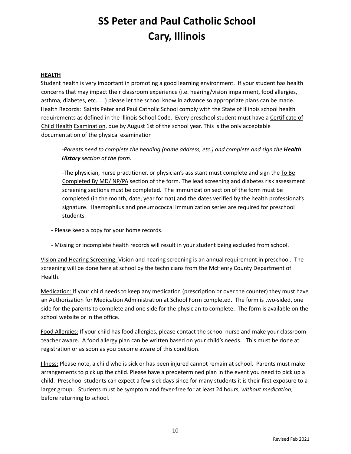#### **HEALTH**

Student health is very important in promoting a good learning environment. If your student has health concerns that may impact their classroom experience (i.e. hearing/vision impairment, food allergies, asthma, diabetes, etc. …) please let the school know in advance so appropriate plans can be made. Health Records: Saints Peter and Paul Catholic School comply with the State of Illinois school health requirements as defined in the Illinois School Code. Every preschool student must have a Certificate of Child Health Examination, due by August 1st of the school year. This is the only acceptable documentation of the physical examination

*-Parents need to complete the heading (name address, etc.) and complete and sign the Health History section of the form.*

-The physician, nurse practitioner, or physician's assistant must complete and sign the To Be Completed By MD/ NP/PA section of the form. The lead screening and diabetes risk assessment screening sections must be completed. The immunization section of the form must be completed (in the month, date, year format) and the dates verified by the health professional's signature. Haemophilus and pneumococcal immunization series are required for preschool students.

- Please keep a copy for your home records.
- Missing or incomplete health records will result in your student being excluded from school.

Vision and Hearing Screening: Vision and hearing screening is an annual requirement in preschool. The screening will be done here at school by the technicians from the McHenry County Department of Health.

Medication: If your child needs to keep any medication (prescription or over the counter) they must have an Authorization for Medication Administration at School Form completed. The form is two-sided, one side for the parents to complete and one side for the physician to complete. The form is available on the school website or in the office.

Food Allergies: If your child has food allergies, please contact the school nurse and make your classroom teacher aware. A food allergy plan can be written based on your child's needs. This must be done at registration or as soon as you become aware of this condition.

Illness: Please note, a child who is sick or has been injured cannot remain at school. Parents must make arrangements to pick up the child. Please have a predetermined plan in the event you need to pick up a child. Preschool students can expect a few sick days since for many students it is their first exposure to a larger group. Students must be symptom and fever-free for at least 24 hours, *without medication*, before returning to school.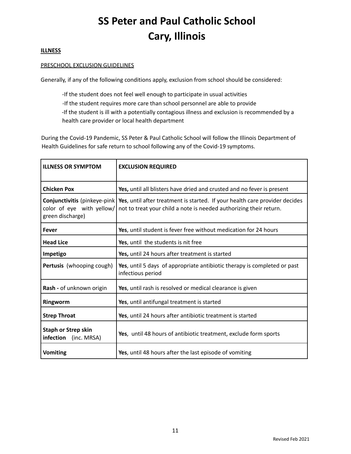#### **ILLNESS**

#### PRESCHOOL EXCLUSION GUIDELINES

Generally, if any of the following conditions apply, exclusion from school should be considered:

-If the student does not feel well enough to participate in usual activities

-If the student requires more care than school personnel are able to provide

-If the student is ill with a potentially contagious illness and exclusion is recommended by a health care provider or local health department

During the Covid-19 Pandemic, SS Peter & Paul Catholic School will follow the Illinois Department of Health Guidelines for safe return to school following any of the Covid-19 symptoms.

| <b>ILLNESS OR SYMPTOM</b>                                                      | <b>EXCLUSION REQUIRED</b>                                                                                                                         |  |  |
|--------------------------------------------------------------------------------|---------------------------------------------------------------------------------------------------------------------------------------------------|--|--|
| <b>Chicken Pox</b>                                                             | Yes, until all blisters have dried and crusted and no fever is present                                                                            |  |  |
| Conjunctivitis (pinkeye-pink)<br>color of eye with yellow/<br>green discharge) | Yes, until after treatment is started. If your health care provider decides<br>not to treat your child a note is needed authorizing their return. |  |  |
| <b>Fever</b>                                                                   | Yes, until student is fever free without medication for 24 hours                                                                                  |  |  |
| <b>Head Lice</b>                                                               | Yes, until the students is nit free                                                                                                               |  |  |
| Impetigo                                                                       | Yes, until 24 hours after treatment is started                                                                                                    |  |  |
| Pertusis (whooping cough)                                                      | Yes, until 5 days of appropriate antibiotic therapy is completed or past<br>infectious period                                                     |  |  |
| Rash - of unknown origin                                                       | Yes, until rash is resolved or medical clearance is given                                                                                         |  |  |
| Ringworm                                                                       | Yes, until antifungal treatment is started                                                                                                        |  |  |
| <b>Strep Throat</b>                                                            | Yes, until 24 hours after antibiotic treatment is started                                                                                         |  |  |
| <b>Staph or Strep skin</b><br>infection (inc. MRSA)                            | Yes, until 48 hours of antibiotic treatment, exclude form sports                                                                                  |  |  |
| <b>Vomiting</b>                                                                | Yes, until 48 hours after the last episode of vomiting                                                                                            |  |  |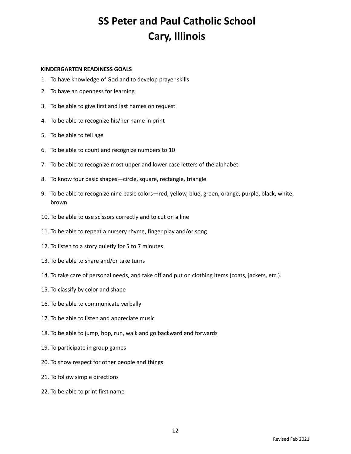#### **KINDERGARTEN READINESS GOALS**

- 1. To have knowledge of God and to develop prayer skills
- 2. To have an openness for learning
- 3. To be able to give first and last names on request
- 4. To be able to recognize his/her name in print
- 5. To be able to tell age
- 6. To be able to count and recognize numbers to 10
- 7. To be able to recognize most upper and lower case letters of the alphabet
- 8. To know four basic shapes—circle, square, rectangle, triangle
- 9. To be able to recognize nine basic colors—red, yellow, blue, green, orange, purple, black, white, brown
- 10. To be able to use scissors correctly and to cut on a line
- 11. To be able to repeat a nursery rhyme, finger play and/or song
- 12. To listen to a story quietly for 5 to 7 minutes
- 13. To be able to share and/or take turns
- 14. To take care of personal needs, and take off and put on clothing items (coats, jackets, etc.).
- 15. To classify by color and shape
- 16. To be able to communicate verbally
- 17. To be able to listen and appreciate music
- 18. To be able to jump, hop, run, walk and go backward and forwards
- 19. To participate in group games
- 20. To show respect for other people and things
- 21. To follow simple directions
- 22. To be able to print first name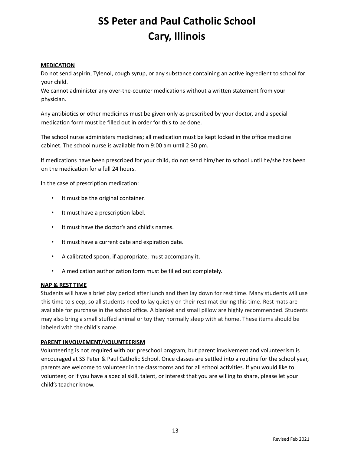#### **MEDICATION**

Do not send aspirin, Tylenol, cough syrup, or any substance containing an active ingredient to school for your child.

We cannot administer any over-the-counter medications without a written statement from your physician.

Any antibiotics or other medicines must be given only as prescribed by your doctor, and a special medication form must be filled out in order for this to be done.

The school nurse administers medicines; all medication must be kept locked in the office medicine cabinet. The school nurse is available from 9:00 am until 2:30 pm.

If medications have been prescribed for your child, do not send him/her to school until he/she has been on the medication for a full 24 hours.

In the case of prescription medication:

- It must be the original container.
- It must have a prescription label.
- It must have the doctor's and child's names.
- It must have a current date and expiration date.
- A calibrated spoon, if appropriate, must accompany it.
- A medication authorization form must be filled out completely.

#### **NAP & REST TIME**

Students will have a brief play period after lunch and then lay down for rest time. Many students will use this time to sleep, so all students need to lay quietly on their rest mat during this time. Rest mats are available for purchase in the school office. A blanket and small pillow are highly recommended. Students may also bring a small stuffed animal or toy they normally sleep with at home. These items should be labeled with the child's name.

#### **PARENT INVOLVEMENT/VOLUNTEERISM**

Volunteering is not required with our preschool program, but parent involvement and volunteerism is encouraged at SS Peter & Paul Catholic School. Once classes are settled into a routine for the school year, parents are welcome to volunteer in the classrooms and for all school activities. If you would like to volunteer, or if you have a special skill, talent, or interest that you are willing to share, please let your child's teacher know.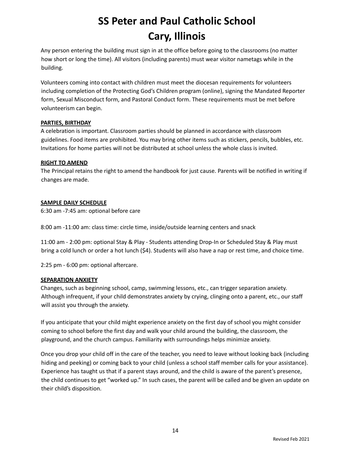Any person entering the building must sign in at the office before going to the classrooms (no matter how short or long the time). All visitors (including parents) must wear visitor nametags while in the building.

Volunteers coming into contact with children must meet the diocesan requirements for volunteers including completion of the Protecting God's Children program (online), signing the Mandated Reporter form, Sexual Misconduct form, and Pastoral Conduct form. These requirements must be met before volunteerism can begin.

#### **PARTIES, BIRTHDAY**

A celebration is important. Classroom parties should be planned in accordance with classroom guidelines. Food items are prohibited. You may bring other items such as stickers, pencils, bubbles, etc. Invitations for home parties will not be distributed at school unless the whole class is invited.

#### **RIGHT TO AMEND**

The Principal retains the right to amend the handbook for just cause. Parents will be notified in writing if changes are made.

#### **SAMPLE DAILY SCHEDULE**

6:30 am -7:45 am: optional before care

8:00 am -11:00 am: class time: circle time, inside/outside learning centers and snack

11:00 am - 2:00 pm: optional Stay & Play - Students attending Drop-In or Scheduled Stay & Play must bring a cold lunch or order a hot lunch (\$4). Students will also have a nap or rest time, and choice time.

2:25 pm - 6:00 pm: optional aftercare.

#### **SEPARATION ANXIETY**

Changes, such as beginning school, camp, swimming lessons, etc., can trigger separation anxiety. Although infrequent, if your child demonstrates anxiety by crying, clinging onto a parent, etc., our staff will assist you through the anxiety.

If you anticipate that your child might experience anxiety on the first day of school you might consider coming to school before the first day and walk your child around the building, the classroom, the playground, and the church campus. Familiarity with surroundings helps minimize anxiety.

Once you drop your child off in the care of the teacher, you need to leave without looking back (including hiding and peeking) or coming back to your child (unless a school staff member calls for your assistance). Experience has taught us that if a parent stays around, and the child is aware of the parent's presence, the child continues to get "worked up." In such cases, the parent will be called and be given an update on their child's disposition.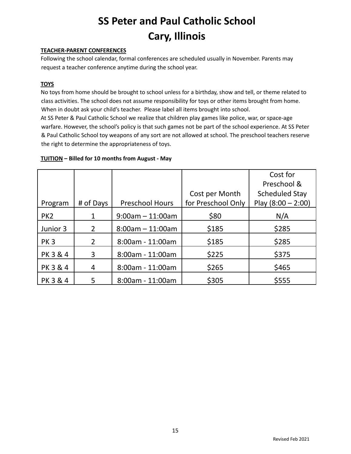#### **TEACHER-PARENT CONFERENCES**

Following the school calendar, formal conferences are scheduled usually in November. Parents may request a teacher conference anytime during the school year.

#### **TOYS**

No toys from home should be brought to school unless for a birthday, show and tell, or theme related to class activities. The school does not assume responsibility for toys or other items brought from home. When in doubt ask your child's teacher. Please label all items brought into school.

At SS Peter & Paul Catholic School we realize that children play games like police, war, or space-age warfare. However, the school's policy is that such games not be part of the school experience. At SS Peter & Paul Catholic School toy weapons of any sort are not allowed at school. The preschool teachers reserve the right to determine the appropriateness of toys.

#### **TUITION – Billed for 10 months from August - May**

|                 |                |                        |                    | Cost for              |
|-----------------|----------------|------------------------|--------------------|-----------------------|
|                 |                |                        |                    | Preschool &           |
|                 |                |                        | Cost per Month     | <b>Scheduled Stay</b> |
| Program         | # of Days      | <b>Preschool Hours</b> | for Preschool Only | Play $(8:00 - 2:00)$  |
| PK <sub>2</sub> | 1              | $9:00$ am $-11:00$ am  | \$80               | N/A                   |
| Junior 3        | $\overline{2}$ | $8:00$ am $-11:00$ am  | \$185              | \$285                 |
| <b>PK3</b>      | $\overline{2}$ | $8:00$ am - 11:00am    | \$185              | \$285                 |
| PK 3 & 4        | 3              | $8:00$ am - 11:00am    | \$225              | \$375                 |
| PK 3 & 4        | 4              | $8:00$ am - 11:00am    | \$265              | \$465                 |
| PK 3 & 4        | 5              | $8:00$ am - 11:00am    | \$305              | \$555                 |